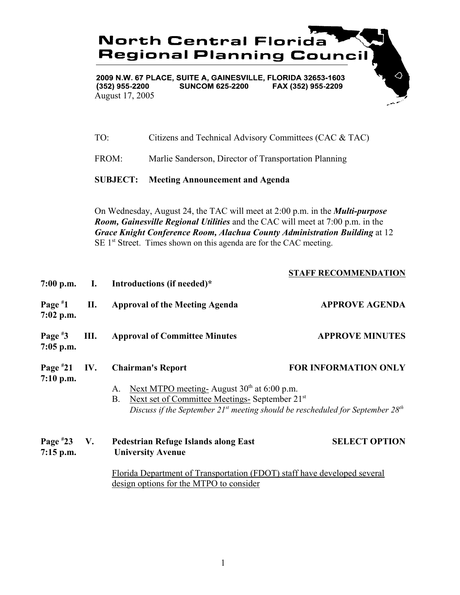

2009 N.W. 67 PLACE, SUITE A, GAINESVILLE, FLORIDA 32653-1603  $(352)$  955-2200 **SUNCOM 625-2200** FAX (352) 955-2209 August 17, 2005

| TO: |  |  | Citizens and Technical Advisory Committees (CAC & TAC) |
|-----|--|--|--------------------------------------------------------|
|-----|--|--|--------------------------------------------------------|

FROM: Marlie Sanderson, Director of Transportation Planning

**SUBJECT: Meeting Announcement and Agenda**

On Wednesday, August 24, the TAC will meet at 2:00 p.m. in the *Multi-purpose Room, Gainesville Regional Utilities* and the CAC will meet at 7:00 p.m. in the *Grace Knight Conference Room, Alachua County Administration Building* at 12 SE 1<sup>st</sup> Street. Times shown on this agenda are for the CAC meeting.

| $7:00$ p.m.                  | $\mathbf{I}$ . | Introductions (if needed)*                                                                                                                                                                                                                     | <b>STAFF RECOMMENDATION</b> |
|------------------------------|----------------|------------------------------------------------------------------------------------------------------------------------------------------------------------------------------------------------------------------------------------------------|-----------------------------|
| Page $*1$<br>$7:02$ p.m.     | П.             | <b>Approval of the Meeting Agenda</b>                                                                                                                                                                                                          | <b>APPROVE AGENDA</b>       |
| Page $*3$<br>$7:05$ p.m.     | Ш.             | <b>Approval of Committee Minutes</b>                                                                                                                                                                                                           | <b>APPROVE MINUTES</b>      |
| Page $*21$<br>$7:10$ p.m.    | IV.            | <b>Chairman's Report</b><br>Next MTPO meeting- August $30th$ at 6:00 p.m.<br>A.<br>Next set of Committee Meetings- September 21st<br><b>B.</b><br>Discuss if the September 21 <sup>st</sup> meeting should be rescheduled for September $28th$ | <b>FOR INFORMATION ONLY</b> |
| Page $*23$ V.<br>$7:15$ p.m. |                | <b>Pedestrian Refuge Islands along East</b><br><b>University Avenue</b><br>Florida Department of Transportation (FDOT) staff have developed several<br>design options for the MTPO to consider                                                 | <b>SELECT OPTION</b>        |